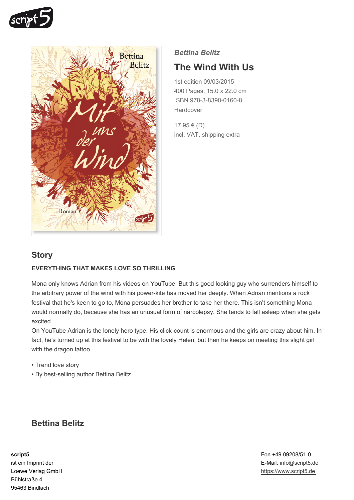



### *Bettina Belitz*

# **The Wind With Us**

1st edition 09/03/2015 400 Pages, 15.0 x 22.0 cm ISBN 978-3-8390-0160-8 **Hardcover** 

17.95 € (D) incl. VAT, shipping extra

## **Story**

#### **EVERYTHING THAT MAKES LOVE SO THRILLING**

Mona only knows Adrian from his videos on YouTube. But this good looking guy who surrenders himself to the arbitrary power of the wind with his power-kite has moved her deeply. When Adrian mentions a rock festival that he's keen to go to, Mona persuades her brother to take her there. This isn't something Mona would normally do, because she has an unusual form of narcolepsy. She tends to fall asleep when she gets excited.

On YouTube Adrian is the lonely hero type. His click-count is enormous and the girls are crazy about him. In fact, he's turned up at this festival to be with the lovely Helen, but then he keeps on meeting this slight girl with the dragon tattoo...

- Trend love story
- By best-selling author Bettina Belitz

## **Bettina Belitz**

**script5**

ist ein Imprint der Loewe Verlag GmbH Bühlstraße 4 95463 Bindlach

Fon +49 09208/51-0 E-Mail: info@script5.de https://www.script5.de